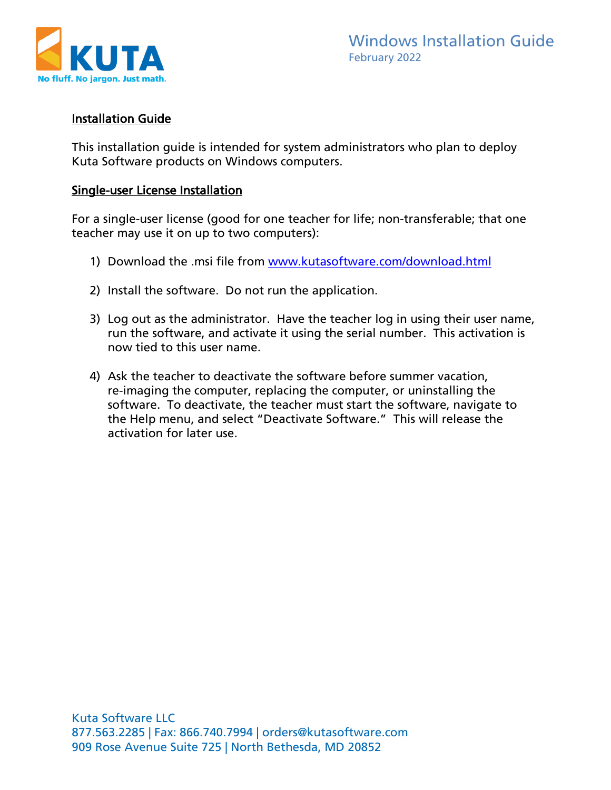

## Installation Guide

This installation guide is intended for system administrators who plan to deploy Kuta Software products on Windows computers.

#### Single-user License Installation

For a single-user license (good for one teacher for life; non-transferable; that one teacher may use it on up to two computers):

- 1) Download the .msi file from [www.kutasoftware.com/download.html](https://www.kutasoftware.com/download.html)
- 2) Install the software. Do not run the application.
- 3) Log out as the administrator. Have the teacher log in using their user name, run the software, and activate it using the serial number. This activation is now tied to this user name.
- 4) Ask the teacher to deactivate the software before summer vacation, re-imaging the computer, replacing the computer, or uninstalling the software. To deactivate, the teacher must start the software, navigate to the Help menu, and select "Deactivate Software." This will release the activation for later use.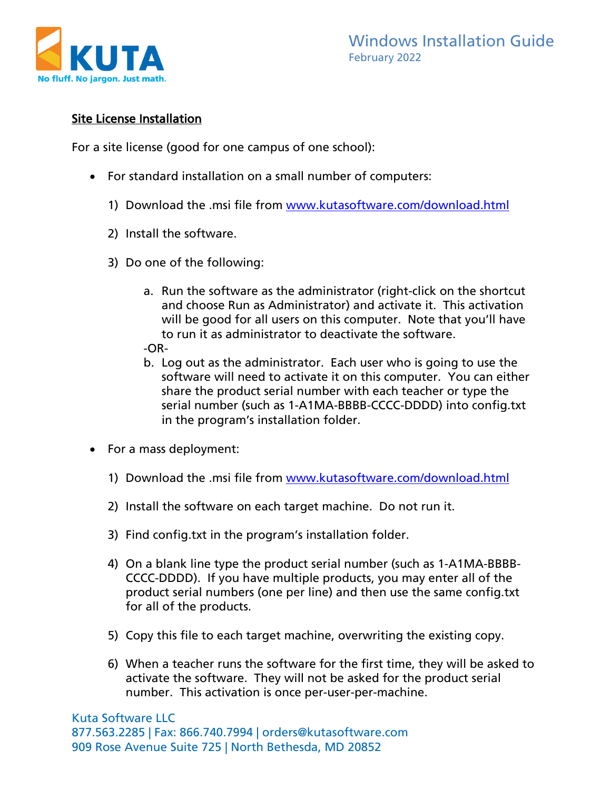

# Site License Installation

For a site license (good for one campus of one school):

- For standard installation on a small number of computers:
	- 1) Download the .msi file from [www.kutasoftware.com/download.html](https://www.kutasoftware.com/download.html)
	- 2) Install the software.
	- 3) Do one of the following:
		- a. Run the software as the administrator (right-click on the shortcut and choose Run as Administrator) and activate it. This activation will be good for all users on this computer. Note that you'll have to run it as administrator to deactivate the software. -OR-
		- b. Log out as the administrator. Each user who is going to use the software will need to activate it on this computer. You can either share the product serial number with each teacher or type the serial number (such as 1-A1MA-BBBB-CCCC-DDDD) into config.txt in the program's installation folder.
- For a mass deployment:
	- 1) Download the .msi file from [www.kutasoftware.com/download.html](https://www.kutasoftware.com/download.html)
	- 2) Install the software on each target machine. Do not run it.
	- 3) Find config.txt in the program's installation folder.
	- 4) On a blank line type the product serial number (such as 1-A1MA-BBBB-CCCC-DDDD). If you have multiple products, you may enter all of the product serial numbers (one per line) and then use the same config.txt for all of the products.
	- 5) Copy this file to each target machine, overwriting the existing copy.
	- 6) When a teacher runs the software for the first time, they will be asked to activate the software. They will not be asked for the product serial number. This activation is once per-user-per-machine.